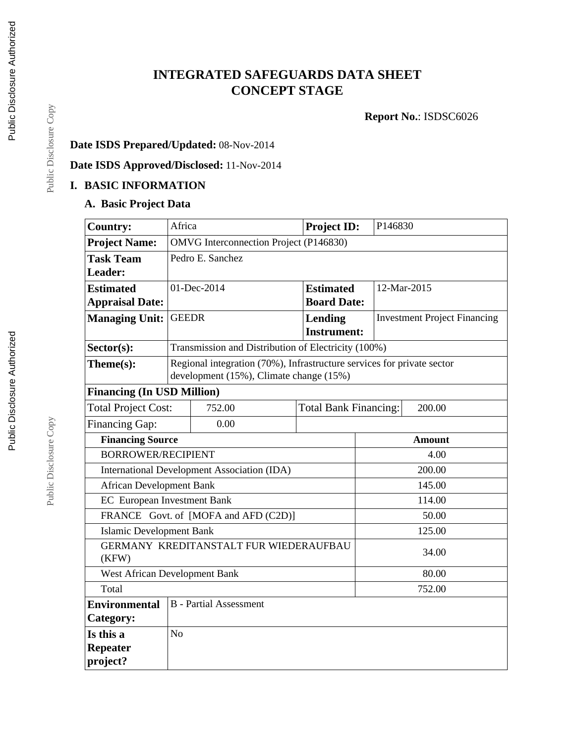# **INTEGRATED SAFEGUARDS DATA SHEET CONCEPT STAGE**

**Report No.**: ISDSC6026

## **Date ISDS Prepared/Updated:** 08-Nov-2014

**Date ISDS Approved/Disclosed:** 11-Nov-2014

### **I. BASIC INFORMATION**

### **A. Basic Project Data**

| <b>Country:</b>                                 | Africa                                                                 |                                                     | <b>Project ID:</b>           |               | P146830                             |  |  |  |
|-------------------------------------------------|------------------------------------------------------------------------|-----------------------------------------------------|------------------------------|---------------|-------------------------------------|--|--|--|
| <b>Project Name:</b>                            | <b>OMVG</b> Interconnection Project (P146830)                          |                                                     |                              |               |                                     |  |  |  |
| <b>Task Team</b>                                | Pedro E. Sanchez                                                       |                                                     |                              |               |                                     |  |  |  |
| Leader:                                         |                                                                        |                                                     |                              |               |                                     |  |  |  |
| <b>Estimated</b>                                |                                                                        | 01-Dec-2014                                         | <b>Estimated</b>             |               | 12-Mar-2015                         |  |  |  |
| <b>Appraisal Date:</b>                          |                                                                        |                                                     | <b>Board Date:</b>           |               |                                     |  |  |  |
| <b>Managing Unit:</b>                           | <b>GEEDR</b>                                                           |                                                     | Lending                      |               | <b>Investment Project Financing</b> |  |  |  |
|                                                 |                                                                        |                                                     | <b>Instrument:</b>           |               |                                     |  |  |  |
| Sector(s):                                      |                                                                        | Transmission and Distribution of Electricity (100%) |                              |               |                                     |  |  |  |
| Theme(s):                                       | Regional integration (70%), Infrastructure services for private sector |                                                     |                              |               |                                     |  |  |  |
|                                                 |                                                                        | development (15%), Climate change (15%)             |                              |               |                                     |  |  |  |
| <b>Financing (In USD Million)</b>               |                                                                        |                                                     |                              |               |                                     |  |  |  |
| <b>Total Project Cost:</b>                      |                                                                        | 752.00                                              | <b>Total Bank Financing:</b> | 200.00        |                                     |  |  |  |
| <b>Financing Gap:</b>                           | 0.00                                                                   |                                                     |                              |               |                                     |  |  |  |
|                                                 | <b>Financing Source</b>                                                |                                                     |                              | <b>Amount</b> |                                     |  |  |  |
| <b>BORROWER/RECIPIENT</b>                       |                                                                        |                                                     |                              | 4.00          |                                     |  |  |  |
| International Development Association (IDA)     |                                                                        |                                                     | 200.00                       |               |                                     |  |  |  |
| <b>African Development Bank</b>                 |                                                                        |                                                     |                              | 145.00        |                                     |  |  |  |
| <b>EC</b> European Investment Bank              |                                                                        |                                                     |                              |               | 114.00                              |  |  |  |
|                                                 |                                                                        | FRANCE Govt. of [MOFA and AFD (C2D)]                |                              | 50.00         |                                     |  |  |  |
| <b>Islamic Development Bank</b>                 |                                                                        |                                                     |                              |               | 125.00                              |  |  |  |
| GERMANY KREDITANSTALT FUR WIEDERAUFBAU<br>(KFW) |                                                                        |                                                     |                              |               | 34.00                               |  |  |  |
| <b>West African Development Bank</b>            |                                                                        |                                                     |                              | 80.00         |                                     |  |  |  |
| Total                                           |                                                                        |                                                     |                              | 752.00        |                                     |  |  |  |
| <b>Environmental</b>                            | <b>B</b> - Partial Assessment                                          |                                                     |                              |               |                                     |  |  |  |
| Category:                                       |                                                                        |                                                     |                              |               |                                     |  |  |  |
| Is this a                                       | N <sub>o</sub>                                                         |                                                     |                              |               |                                     |  |  |  |
| <b>Repeater</b>                                 |                                                                        |                                                     |                              |               |                                     |  |  |  |
| project?                                        |                                                                        |                                                     |                              |               |                                     |  |  |  |

Public Disclosure Authorized

Public Disclosure Authorized

Public Disclosure Copy

Public Disclosure Copy

Public Disclosure Copy

Public Disclosure Copy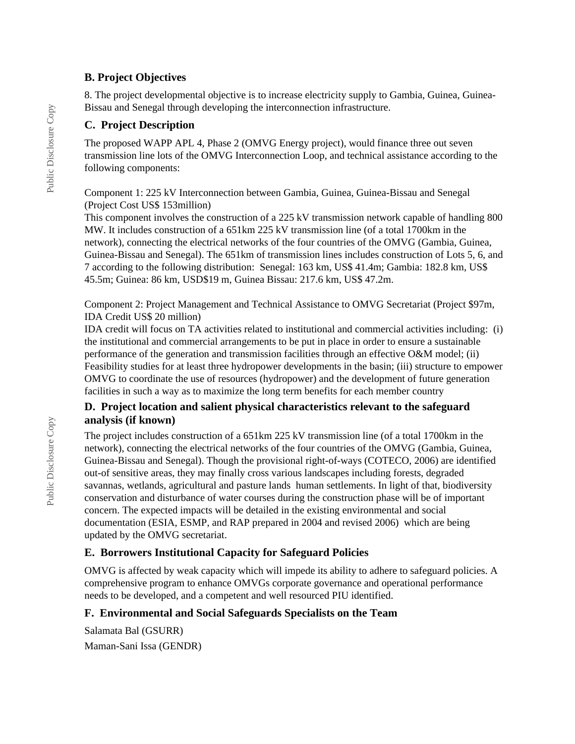#### **B. Project Objectives**

8. The project developmental objective is to increase electricity supply to Gambia, Guinea, Guinea-Bissau and Senegal through developing the interconnection infrastructure.

### **C. Project Description**

The proposed WAPP APL 4, Phase 2 (OMVG Energy project), would finance three out seven transmission line lots of the OMVG Interconnection Loop, and technical assistance according to the following components:

Component 1: 225 kV Interconnection between Gambia, Guinea, Guinea-Bissau and Senegal (Project Cost US\$ 153million)

This component involves the construction of a 225 kV transmission network capable of handling 800 MW. It includes construction of a 651km 225 kV transmission line (of a total 1700km in the network), connecting the electrical networks of the four countries of the OMVG (Gambia, Guinea, Guinea-Bissau and Senegal). The 651km of transmission lines includes construction of Lots 5, 6, and 7 according to the following distribution: Senegal: 163 km, US\$ 41.4m; Gambia: 182.8 km, US\$ 45.5m; Guinea: 86 km, USD\$19 m, Guinea Bissau: 217.6 km, US\$ 47.2m.

Component 2: Project Management and Technical Assistance to OMVG Secretariat (Project \$97m, IDA Credit US\$ 20 million)

IDA credit will focus on TA activities related to institutional and commercial activities including: (i) the institutional and commercial arrangements to be put in place in order to ensure a sustainable performance of the generation and transmission facilities through an effective O&M model; (ii) Feasibility studies for at least three hydropower developments in the basin; (iii) structure to empower OMVG to coordinate the use of resources (hydropower) and the development of future generation facilities in such a way as to maximize the long term benefits for each member country

### **D. Project location and salient physical characteristics relevant to the safeguard analysis (if known)**

The project includes construction of a 651km 225 kV transmission line (of a total 1700km in the network), connecting the electrical networks of the four countries of the OMVG (Gambia, Guinea, Guinea-Bissau and Senegal). Though the provisional right-of-ways (COTECO, 2006) are identified out-of sensitive areas, they may finally cross various landscapes including forests, degraded savannas, wetlands, agricultural and pasture lands human settlements. In light of that, biodiversity conservation and disturbance of water courses during the construction phase will be of important concern. The expected impacts will be detailed in the existing environmental and social documentation (ESIA, ESMP, and RAP prepared in 2004 and revised 2006) which are being updated by the OMVG secretariat.

## **E. Borrowers Institutional Capacity for Safeguard Policies**

OMVG is affected by weak capacity which will impede its ability to adhere to safeguard policies. A comprehensive program to enhance OMVGs corporate governance and operational performance needs to be developed, and a competent and well resourced PIU identified.

#### **F. Environmental and Social Safeguards Specialists on the Team**

Salamata Bal (GSURR) Maman-Sani Issa (GENDR)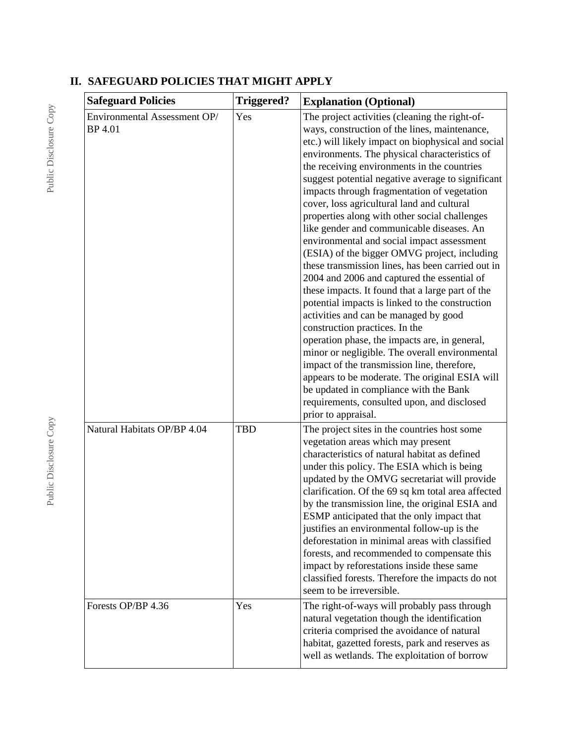| <b>Safeguard Policies</b>                      | <b>Triggered?</b> | <b>Explanation (Optional)</b>                                                                                                                                                                                                                                                                                                                                                                                                                                                                                                                                                                                                                                                                                                                                                                                                                                                                                                                                                                                                                                                                                                                                                          |  |
|------------------------------------------------|-------------------|----------------------------------------------------------------------------------------------------------------------------------------------------------------------------------------------------------------------------------------------------------------------------------------------------------------------------------------------------------------------------------------------------------------------------------------------------------------------------------------------------------------------------------------------------------------------------------------------------------------------------------------------------------------------------------------------------------------------------------------------------------------------------------------------------------------------------------------------------------------------------------------------------------------------------------------------------------------------------------------------------------------------------------------------------------------------------------------------------------------------------------------------------------------------------------------|--|
| Environmental Assessment OP/<br><b>BP</b> 4.01 | Yes               | The project activities (cleaning the right-of-<br>ways, construction of the lines, maintenance,<br>etc.) will likely impact on biophysical and social<br>environments. The physical characteristics of<br>the receiving environments in the countries<br>suggest potential negative average to significant<br>impacts through fragmentation of vegetation<br>cover, loss agricultural land and cultural<br>properties along with other social challenges<br>like gender and communicable diseases. An<br>environmental and social impact assessment<br>(ESIA) of the bigger OMVG project, including<br>these transmission lines, has been carried out in<br>2004 and 2006 and captured the essential of<br>these impacts. It found that a large part of the<br>potential impacts is linked to the construction<br>activities and can be managed by good<br>construction practices. In the<br>operation phase, the impacts are, in general,<br>minor or negligible. The overall environmental<br>impact of the transmission line, therefore,<br>appears to be moderate. The original ESIA will<br>be updated in compliance with the Bank<br>requirements, consulted upon, and disclosed |  |
| Natural Habitats OP/BP 4.04                    | <b>TBD</b>        | prior to appraisal.<br>The project sites in the countries host some<br>vegetation areas which may present<br>characteristics of natural habitat as defined<br>under this policy. The ESIA which is being<br>updated by the OMVG secretariat will provide<br>clarification. Of the 69 sq km total area affected<br>by the transmission line, the original ESIA and<br>ESMP anticipated that the only impact that<br>justifies an environmental follow-up is the<br>deforestation in minimal areas with classified<br>forests, and recommended to compensate this<br>impact by reforestations inside these same<br>classified forests. Therefore the impacts do not<br>seem to be irreversible.                                                                                                                                                                                                                                                                                                                                                                                                                                                                                          |  |
| Forests OP/BP 4.36                             | Yes               | The right-of-ways will probably pass through<br>natural vegetation though the identification<br>criteria comprised the avoidance of natural<br>habitat, gazetted forests, park and reserves as<br>well as wetlands. The exploitation of borrow                                                                                                                                                                                                                                                                                                                                                                                                                                                                                                                                                                                                                                                                                                                                                                                                                                                                                                                                         |  |

# **II. SAFEGUARD POLICIES THAT MIGHT APPLY**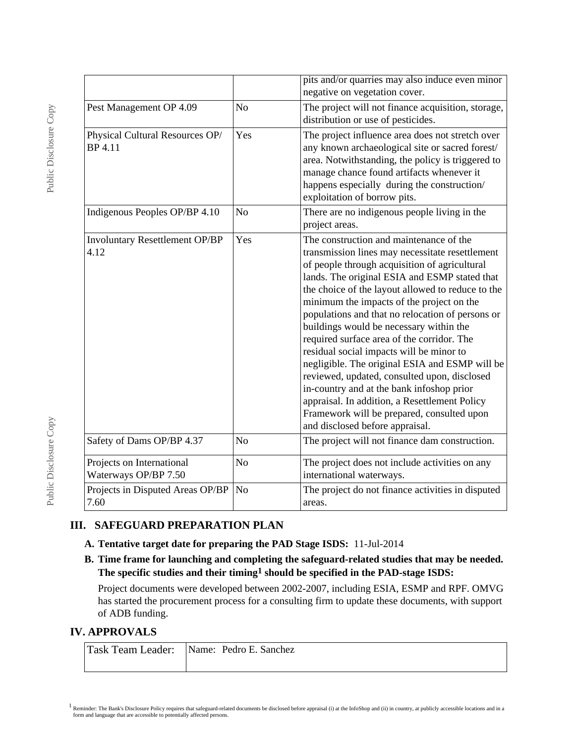|                                                   |                | pits and/or quarries may also induce even minor<br>negative on vegetation cover.                                                                                                                                                                                                                                                                                                                                                                                                                                                                                                                                                                                                                                                                                         |  |
|---------------------------------------------------|----------------|--------------------------------------------------------------------------------------------------------------------------------------------------------------------------------------------------------------------------------------------------------------------------------------------------------------------------------------------------------------------------------------------------------------------------------------------------------------------------------------------------------------------------------------------------------------------------------------------------------------------------------------------------------------------------------------------------------------------------------------------------------------------------|--|
| Pest Management OP 4.09                           | No             | The project will not finance acquisition, storage,<br>distribution or use of pesticides.                                                                                                                                                                                                                                                                                                                                                                                                                                                                                                                                                                                                                                                                                 |  |
| Physical Cultural Resources OP/<br>BP 4.11        | Yes            | The project influence area does not stretch over<br>any known archaeological site or sacred forest/<br>area. Notwithstanding, the policy is triggered to<br>manage chance found artifacts whenever it<br>happens especially during the construction/<br>exploitation of borrow pits.                                                                                                                                                                                                                                                                                                                                                                                                                                                                                     |  |
| Indigenous Peoples OP/BP 4.10                     | N <sub>o</sub> | There are no indigenous people living in the<br>project areas.                                                                                                                                                                                                                                                                                                                                                                                                                                                                                                                                                                                                                                                                                                           |  |
| <b>Involuntary Resettlement OP/BP</b><br>4.12     | Yes            | The construction and maintenance of the<br>transmission lines may necessitate resettlement<br>of people through acquisition of agricultural<br>lands. The original ESIA and ESMP stated that<br>the choice of the layout allowed to reduce to the<br>minimum the impacts of the project on the<br>populations and that no relocation of persons or<br>buildings would be necessary within the<br>required surface area of the corridor. The<br>residual social impacts will be minor to<br>negligible. The original ESIA and ESMP will be<br>reviewed, updated, consulted upon, disclosed<br>in-country and at the bank infoshop prior<br>appraisal. In addition, a Resettlement Policy<br>Framework will be prepared, consulted upon<br>and disclosed before appraisal. |  |
| Safety of Dams OP/BP 4.37                         | No             | The project will not finance dam construction.                                                                                                                                                                                                                                                                                                                                                                                                                                                                                                                                                                                                                                                                                                                           |  |
| Projects on International<br>Waterways OP/BP 7.50 | N <sub>o</sub> | The project does not include activities on any<br>international waterways.                                                                                                                                                                                                                                                                                                                                                                                                                                                                                                                                                                                                                                                                                               |  |
| Projects in Disputed Areas OP/BP<br>7.60          | No             | The project do not finance activities in disputed<br>areas.                                                                                                                                                                                                                                                                                                                                                                                                                                                                                                                                                                                                                                                                                                              |  |

## **III. SAFEGUARD PREPARATION PLAN**

- **A. Tentative target date for preparing the PAD Stage ISDS:** 11-Jul-2014
- **B. Time frame for launching and completing the safeguard-related studies that may be needed. The specific studies and their timing1 should be specified in the PAD-stage ISDS:**

Project documents were developed between 2002-2007, including ESIA, ESMP and RPF. OMVG has started the procurement process for a consulting firm to update these documents, with support of ADB funding.

#### **IV. APPROVALS**

| Task Team Leader: Name: Pedro E. Sanchez |
|------------------------------------------|
|                                          |

 $1$  Reminder: The Bank's Disclosure Policy requires that safeguard-related documents be disclosed before appraisal (i) at the InfoShop and (ii) in country, at publicly accessible locations and in a form and language that are accessible to potentially affected persons.